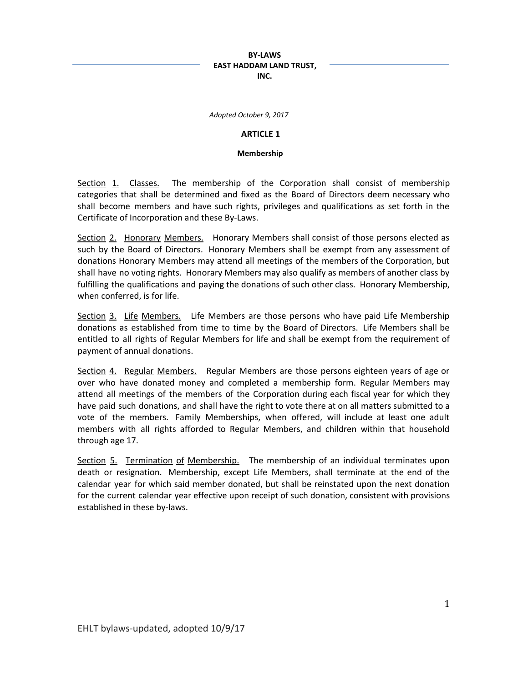*Adopted October 9, 2017*

### **ARTICLE 1**

#### **Membership**

Section 1. Classes. The membership of the Corporation shall consist of membership categories that shall be determined and fixed as the Board of Directors deem necessary who shall become members and have such rights, privileges and qualifications as set forth in the Certificate of Incorporation and these By-Laws.

Section 2. Honorary Members. Honorary Members shall consist of those persons elected as such by the Board of Directors. Honorary Members shall be exempt from any assessment of donations Honorary Members may attend all meetings of the members of the Corporation, but shall have no voting rights. Honorary Members may also qualify as members of another class by fulfilling the qualifications and paying the donations of such other class. Honorary Membership, when conferred, is for life.

Section 3. Life Members. Life Members are those persons who have paid Life Membership donations as established from time to time by the Board of Directors. Life Members shall be entitled to all rights of Regular Members for life and shall be exempt from the requirement of payment of annual donations.

Section 4. Regular Members. Regular Members are those persons eighteen years of age or over who have donated money and completed a membership form. Regular Members may attend all meetings of the members of the Corporation during each fiscal year for which they have paid such donations, and shall have the right to vote there at on all matters submitted to a vote of the members. Family Memberships, when offered, will include at least one adult members with all rights afforded to Regular Members, and children within that household through age 17.

Section 5. Termination of Membership. The membership of an individual terminates upon death or resignation. Membership, except Life Members, shall terminate at the end of the calendar year for which said member donated, but shall be reinstated upon the next donation for the current calendar year effective upon receipt of such donation, consistent with provisions established in these by-laws.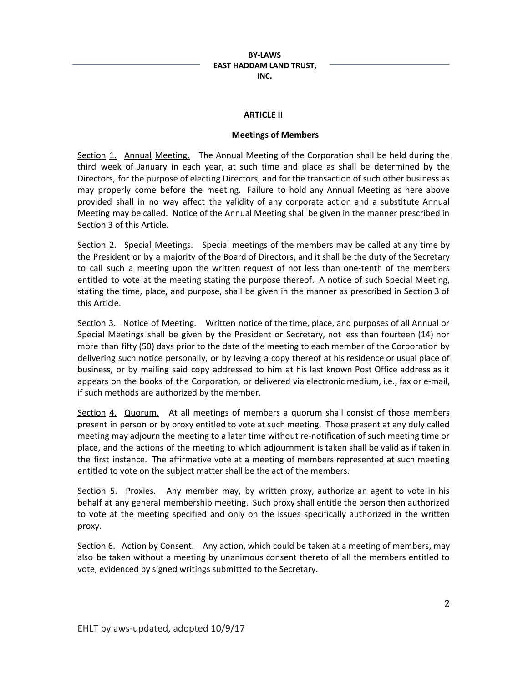### **ARTICLE II**

### **Meetings of Members**

Section 1. Annual Meeting. The Annual Meeting of the Corporation shall be held during the third week of January in each year, at such time and place as shall be determined by the Directors, for the purpose of electing Directors, and for the transaction of such other business as may properly come before the meeting. Failure to hold any Annual Meeting as here above provided shall in no way affect the validity of any corporate action and a substitute Annual Meeting may be called. Notice of the Annual Meeting shall be given in the manner prescribed in Section 3 of this Article.

Section 2. Special Meetings. Special meetings of the members may be called at any time by the President or by a majority of the Board of Directors, and it shall be the duty of the Secretary to call such a meeting upon the written request of not less than one-tenth of the members entitled to vote at the meeting stating the purpose thereof. A notice of such Special Meeting, stating the time, place, and purpose, shall be given in the manner as prescribed in Section 3 of this Article.

Section 3. Notice of Meeting. Written notice of the time, place, and purposes of all Annual or Special Meetings shall be given by the President or Secretary, not less than fourteen (14) nor more than fifty (50) days prior to the date of the meeting to each member of the Corporation by delivering such notice personally, or by leaving a copy thereof at his residence or usual place of business, or by mailing said copy addressed to him at his last known Post Office address as it appears on the books of the Corporation, or delivered via electronic medium, i.e., fax or e-mail, if such methods are authorized by the member.

Section 4. Quorum. At all meetings of members a quorum shall consist of those members present in person or by proxy entitled to vote at such meeting. Those present at any duly called meeting may adjourn the meeting to a later time without re-notification of such meeting time or place, and the actions of the meeting to which adjournment is taken shall be valid as if taken in the first instance. The affirmative vote at a meeting of members represented at such meeting entitled to vote on the subject matter shall be the act of the members.

Section 5. Proxies. Any member may, by written proxy, authorize an agent to vote in his behalf at any general membership meeting. Such proxy shall entitle the person then authorized to vote at the meeting specified and only on the issues specifically authorized in the written proxy.

Section 6. Action by Consent. Any action, which could be taken at a meeting of members, may also be taken without a meeting by unanimous consent thereto of all the members entitled to vote, evidenced by signed writings submitted to the Secretary.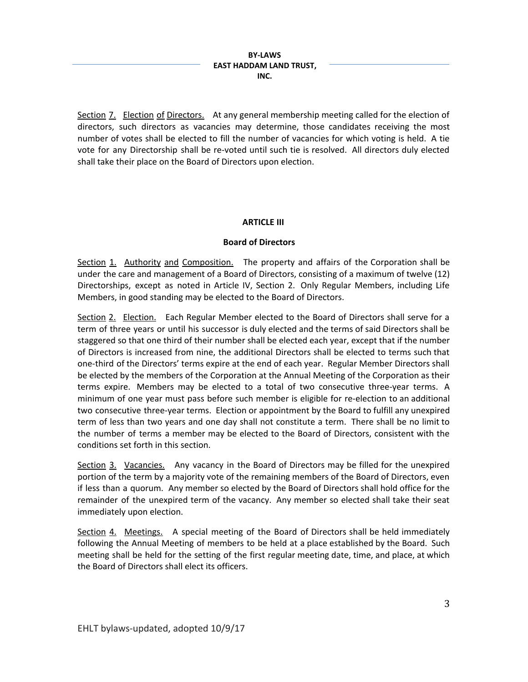Section 7. Election of Directors. At any general membership meeting called for the election of directors, such directors as vacancies may determine, those candidates receiving the most number of votes shall be elected to fill the number of vacancies for which voting is held. A tie vote for any Directorship shall be re-voted until such tie is resolved. All directors duly elected shall take their place on the Board of Directors upon election.

## **ARTICLE III**

## **Board of Directors**

Section 1. Authority and Composition. The property and affairs of the Corporation shall be under the care and management of a Board of Directors, consisting of a maximum of twelve (12) Directorships, except as noted in Article IV, Section 2. Only Regular Members, including Life Members, in good standing may be elected to the Board of Directors.

Section 2. Election. Each Regular Member elected to the Board of Directors shall serve for a term of three years or until his successor is duly elected and the terms of said Directors shall be staggered so that one third of their number shall be elected each year, except that if the number of Directors is increased from nine, the additional Directors shall be elected to terms such that one-third of the Directors' terms expire at the end of each year. Regular Member Directors shall be elected by the members of the Corporation at the Annual Meeting of the Corporation as their terms expire. Members may be elected to a total of two consecutive three-year terms. A minimum of one year must pass before such member is eligible for re-election to an additional two consecutive three-year terms. Election or appointment by the Board to fulfill any unexpired term of less than two years and one day shall not constitute a term. There shall be no limit to the number of terms a member may be elected to the Board of Directors, consistent with the conditions set forth in this section.

Section 3. Vacancies. Any vacancy in the Board of Directors may be filled for the unexpired portion of the term by a majority vote of the remaining members of the Board of Directors, even if less than a quorum. Any member so elected by the Board of Directors shall hold office for the remainder of the unexpired term of the vacancy. Any member so elected shall take their seat immediately upon election.

Section 4. Meetings. A special meeting of the Board of Directors shall be held immediately following the Annual Meeting of members to be held at a place established by the Board. Such meeting shall be held for the setting of the first regular meeting date, time, and place, at which the Board of Directors shall elect its officers.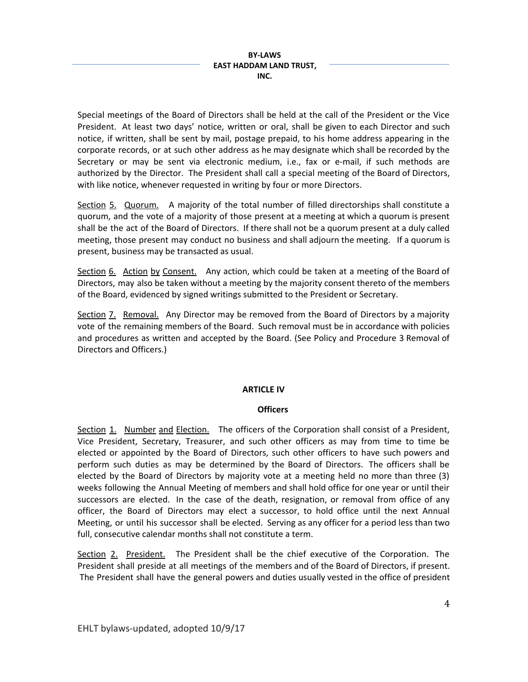Special meetings of the Board of Directors shall be held at the call of the President or the Vice President. At least two days' notice, written or oral, shall be given to each Director and such notice, if written, shall be sent by mail, postage prepaid, to his home address appearing in the corporate records, or at such other address as he may designate which shall be recorded by the Secretary or may be sent via electronic medium, i.e., fax or e-mail, if such methods are authorized by the Director. The President shall call a special meeting of the Board of Directors, with like notice, whenever requested in writing by four or more Directors.

Section 5. Quorum. A majority of the total number of filled directorships shall constitute a quorum, and the vote of a majority of those present at a meeting at which a quorum is present shall be the act of the Board of Directors. If there shall not be a quorum present at a duly called meeting, those present may conduct no business and shall adjourn the meeting. If a quorum is present, business may be transacted as usual.

Section 6. Action by Consent. Any action, which could be taken at a meeting of the Board of Directors, may also be taken without a meeting by the majority consent thereto of the members of the Board, evidenced by signed writings submitted to the President or Secretary.

Section 7. Removal. Any Director may be removed from the Board of Directors by a majority vote of the remaining members of the Board. Such removal must be in accordance with policies and procedures as written and accepted by the Board. (See Policy and Procedure 3 Removal of Directors and Officers.)

## **ARTICLE IV**

## **Officers**

Section 1. Number and Election. The officers of the Corporation shall consist of a President, Vice President, Secretary, Treasurer, and such other officers as may from time to time be elected or appointed by the Board of Directors, such other officers to have such powers and perform such duties as may be determined by the Board of Directors. The officers shall be elected by the Board of Directors by majority vote at a meeting held no more than three (3) weeks following the Annual Meeting of members and shall hold office for one year or until their successors are elected. In the case of the death, resignation, or removal from office of any officer, the Board of Directors may elect a successor, to hold office until the next Annual Meeting, or until his successor shall be elected. Serving as any officer for a period less than two full, consecutive calendar months shall not constitute a term.

Section 2. President. The President shall be the chief executive of the Corporation. The President shall preside at all meetings of the members and of the Board of Directors, if present. The President shall have the general powers and duties usually vested in the office of president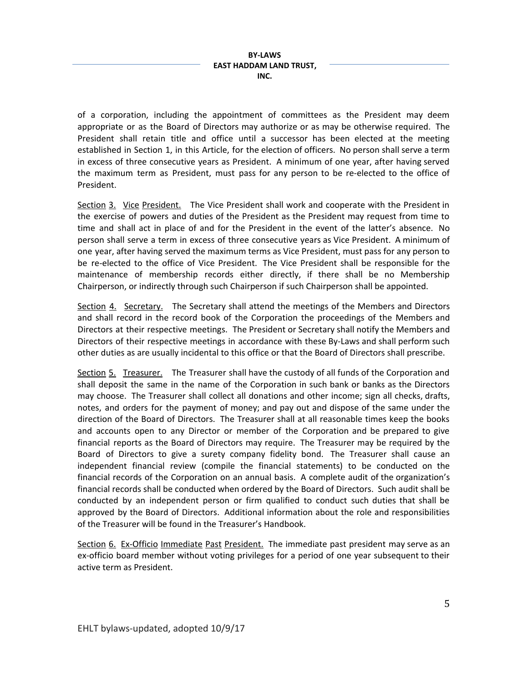of a corporation, including the appointment of committees as the President may deem appropriate or as the Board of Directors may authorize or as may be otherwise required. The President shall retain title and office until a successor has been elected at the meeting established in Section 1, in this Article, for the election of officers. No person shall serve a term in excess of three consecutive years as President. A minimum of one year, after having served the maximum term as President, must pass for any person to be re-elected to the office of President.

Section 3. Vice President. The Vice President shall work and cooperate with the President in the exercise of powers and duties of the President as the President may request from time to time and shall act in place of and for the President in the event of the latter's absence. No person shall serve a term in excess of three consecutive years as Vice President. A minimum of one year, after having served the maximum terms as Vice President, must pass for any person to be re-elected to the office of Vice President. The Vice President shall be responsible for the maintenance of membership records either directly, if there shall be no Membership Chairperson, or indirectly through such Chairperson if such Chairperson shall be appointed.

Section 4. Secretary. The Secretary shall attend the meetings of the Members and Directors and shall record in the record book of the Corporation the proceedings of the Members and Directors at their respective meetings. The President or Secretary shall notify the Members and Directors of their respective meetings in accordance with these By-Laws and shall perform such other duties as are usually incidental to this office or that the Board of Directors shall prescribe.

Section 5. Treasurer. The Treasurer shall have the custody of all funds of the Corporation and shall deposit the same in the name of the Corporation in such bank or banks as the Directors may choose. The Treasurer shall collect all donations and other income; sign all checks, drafts, notes, and orders for the payment of money; and pay out and dispose of the same under the direction of the Board of Directors. The Treasurer shall at all reasonable times keep the books and accounts open to any Director or member of the Corporation and be prepared to give financial reports as the Board of Directors may require. The Treasurer may be required by the Board of Directors to give a surety company fidelity bond. The Treasurer shall cause an independent financial review (compile the financial statements) to be conducted on the financial records of the Corporation on an annual basis. A complete audit of the organization's financial records shall be conducted when ordered by the Board of Directors. Such audit shall be conducted by an independent person or firm qualified to conduct such duties that shall be approved by the Board of Directors. Additional information about the role and responsibilities of the Treasurer will be found in the Treasurer's Handbook.

Section 6. Ex-Officio Immediate Past President. The immediate past president may serve as an ex-officio board member without voting privileges for a period of one year subsequent to their active term as President.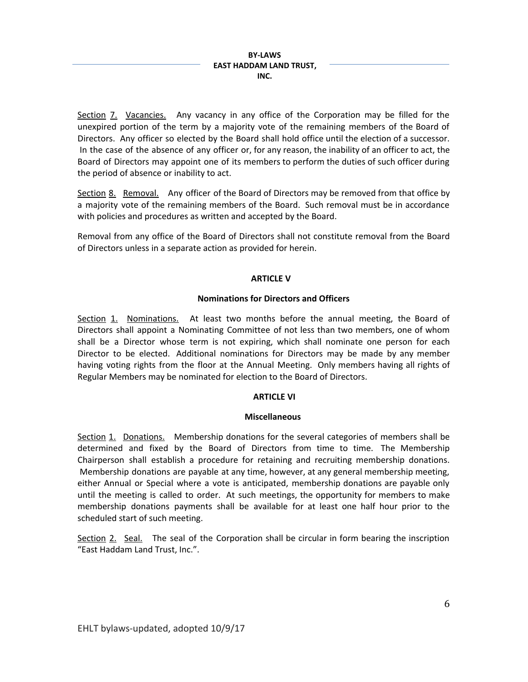Section 7. Vacancies. Any vacancy in any office of the Corporation may be filled for the unexpired portion of the term by a majority vote of the remaining members of the Board of Directors. Any officer so elected by the Board shall hold office until the election of a successor. In the case of the absence of any officer or, for any reason, the inability of an officer to act, the Board of Directors may appoint one of its members to perform the duties of such officer during the period of absence or inability to act.

Section 8. Removal. Any officer of the Board of Directors may be removed from that office by a majority vote of the remaining members of the Board. Such removal must be in accordance with policies and procedures as written and accepted by the Board.

Removal from any office of the Board of Directors shall not constitute removal from the Board of Directors unless in a separate action as provided for herein.

## **ARTICLE V**

## **Nominations for Directors and Officers**

Section 1. Nominations. At least two months before the annual meeting, the Board of Directors shall appoint a Nominating Committee of not less than two members, one of whom shall be a Director whose term is not expiring, which shall nominate one person for each Director to be elected. Additional nominations for Directors may be made by any member having voting rights from the floor at the Annual Meeting. Only members having all rights of Regular Members may be nominated for election to the Board of Directors.

# **ARTICLE VI**

## **Miscellaneous**

Section 1. Donations. Membership donations for the several categories of members shall be determined and fixed by the Board of Directors from time to time. The Membership Chairperson shall establish a procedure for retaining and recruiting membership donations. Membership donations are payable at any time, however, at any general membership meeting, either Annual or Special where a vote is anticipated, membership donations are payable only until the meeting is called to order. At such meetings, the opportunity for members to make membership donations payments shall be available for at least one half hour prior to the scheduled start of such meeting.

Section 2. Seal. The seal of the Corporation shall be circular in form bearing the inscription "East Haddam Land Trust, Inc.".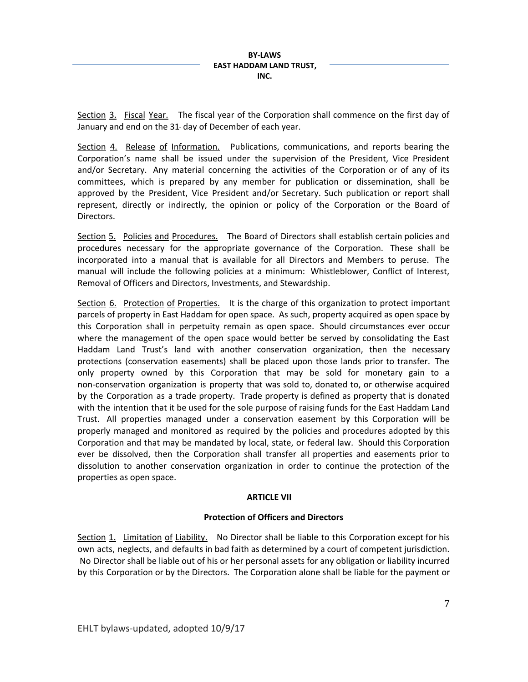Section 3. Fiscal Year. The fiscal year of the Corporation shall commence on the first day of January and end on the 31 day of December of each year.

Section 4. Release of Information. Publications, communications, and reports bearing the Corporation's name shall be issued under the supervision of the President, Vice President and/or Secretary. Any material concerning the activities of the Corporation or of any of its committees, which is prepared by any member for publication or dissemination, shall be approved by the President, Vice President and/or Secretary. Such publication or report shall represent, directly or indirectly, the opinion or policy of the Corporation or the Board of Directors.

Section 5. Policies and Procedures. The Board of Directors shall establish certain policies and procedures necessary for the appropriate governance of the Corporation. These shall be incorporated into a manual that is available for all Directors and Members to peruse. The manual will include the following policies at a minimum: Whistleblower, Conflict of Interest, Removal of Officers and Directors, Investments, and Stewardship.

Section 6. Protection of Properties. It is the charge of this organization to protect important parcels of property in East Haddam for open space. As such, property acquired as open space by this Corporation shall in perpetuity remain as open space. Should circumstances ever occur where the management of the open space would better be served by consolidating the East Haddam Land Trust's land with another conservation organization, then the necessary protections (conservation easements) shall be placed upon those lands prior to transfer. The only property owned by this Corporation that may be sold for monetary gain to a non-conservation organization is property that was sold to, donated to, or otherwise acquired by the Corporation as a trade property. Trade property is defined as property that is donated with the intention that it be used for the sole purpose of raising funds for the East Haddam Land Trust. All properties managed under a conservation easement by this Corporation will be properly managed and monitored as required by the policies and procedures adopted by this Corporation and that may be mandated by local, state, or federal law. Should this Corporation ever be dissolved, then the Corporation shall transfer all properties and easements prior to dissolution to another conservation organization in order to continue the protection of the properties as open space.

## **ARTICLE VII**

# **Protection of Officers and Directors**

Section 1. Limitation of Liability. No Director shall be liable to this Corporation except for his own acts, neglects, and defaults in bad faith as determined by a court of competent jurisdiction. No Director shall be liable out of his or her personal assets for any obligation or liability incurred by this Corporation or by the Directors. The Corporation alone shall be liable for the payment or